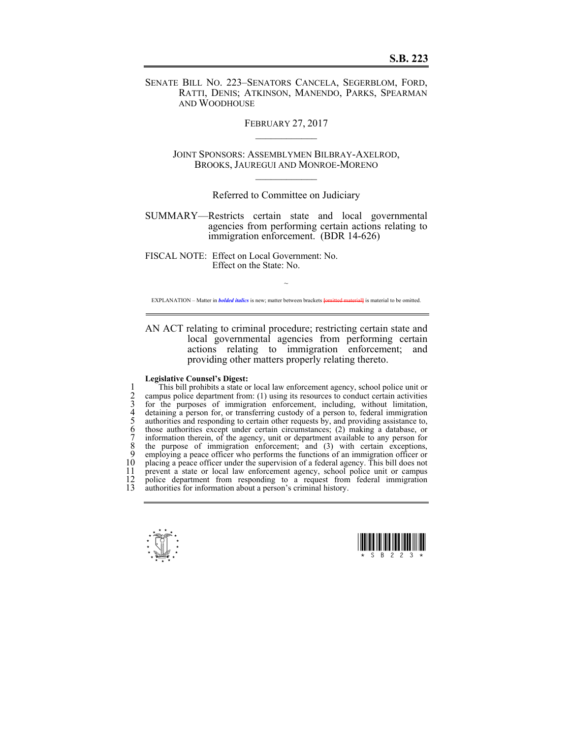SENATE BILL NO. 223–SENATORS CANCELA, SEGERBLOM, FORD, RATTI, DENIS; ATKINSON, MANENDO, PARKS, SPEARMAN AND WOODHOUSE

FEBRUARY 27, 2017

JOINT SPONSORS: ASSEMBLYMEN BILBRAY-AXELROD, BROOKS, JAUREGUI AND MONROE-MORENO  $\mathcal{L}_\text{max}$ 

Referred to Committee on Judiciary

SUMMARY—Restricts certain state and local governmental agencies from performing certain actions relating to immigration enforcement. (BDR 14-626)

FISCAL NOTE: Effect on Local Government: No. Effect on the State: No.

 $\sim$ EXPLANATION – Matter in *bolded italics* is new; matter between brackets **[**omitted material**]** is material to be omitted.

AN ACT relating to criminal procedure; restricting certain state and local governmental agencies from performing certain actions relating to immigration enforcement; and providing other matters properly relating thereto.

## **Legislative Counsel's Digest:**

This bill prohibits a state or local law enforcement agency, school police unit or<br>
2 campus police department from: (1) using its resources to conduct certain activities<br>
3 for the purposes of immigration enforcement, inc 2 campus police department from: (1) using its resources to conduct certain activities for the purposes of immigration enforcement, including, without limitation, 4 detaining a person for, or transferring custody of a person to, federal immigration authorities and responding to certain other requests by, and providing assistance to, 6 those authorities except under certain circumstances; (2) making a database, or 7 information therein, of the agency, unit or department available to any person for 8 the purpose of immigration enforcement; and (3) with certain exceptions, 9 employing a peace officer who performs the functions of an immigration officer or 10 placing a peace officer under the supervision of a federal agency. This bill does not 11 prevent a state or local law enforcement agency, school police unit or campus 11 prevent a state or local law enforcement agency, school police unit or campus 12 police department from responding to a request from federal immigration 12 police department from responding to a request from federal immigration<br>13 authorities for information about a person's criminal history authorities for information about a person's criminal history.



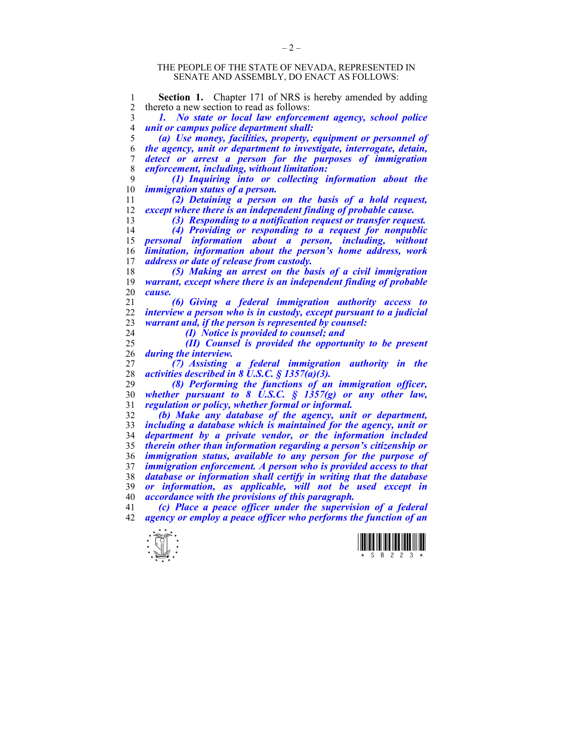## THE PEOPLE OF THE STATE OF NEVADA, REPRESENTED IN SENATE AND ASSEMBLY, DO ENACT AS FOLLOWS:

**Section 1.** Chapter 171 of NRS is hereby amended by adding<br>2 thereto a new section to read as follows: 2 thereto a new section to read as follows: *1. No state or local law enforcement agency, school police unit or campus police department shall: (a) Use money, facilities, property, equipment or personnel of the agency, unit or department to investigate, interrogate, detain, detect or arrest a person for the purposes of immigration enforcement, including, without limitation: (1) Inquiring into or collecting information about the immigration status of a person. (2) Detaining a person on the basis of a hold request, except where there is an independent finding of probable cause. (3) Responding to a notification request or transfer request. (4) Providing or responding to a request for nonpublic personal information about a person, including, without limitation, information about the person's home address, work address or date of release from custody. (5) Making an arrest on the basis of a civil immigration warrant, except where there is an independent finding of probable cause. (6) Giving a federal immigration authority access to interview a person who is in custody, except pursuant to a judicial warrant and, if the person is represented by counsel: (I) Notice is provided to counsel; and (II) Counsel is provided the opportunity to be present during the interview. (7) Assisting a federal immigration authority in the activities described in 8 U.S.C. § 1357(a)(3). (8) Performing the functions of an immigration officer, whether pursuant to 8 U.S.C. § 1357(g) or any other law, regulation or policy, whether formal or informal. (b) Make any database of the agency, unit or department,*  including a database which is maintained for the agency, unit or *department by a private vendor, or the information included therein other than information regarding a person's citizenship or immigration status, available to any person for the purpose of immigration enforcement. A person who is provided access to that database or information shall certify in writing that the database or information, as applicable, will not be used except in accordance with the provisions of this paragraph. (c) Place a peace officer under the supervision of a federal agency or employ a peace officer who performs the function of an* 



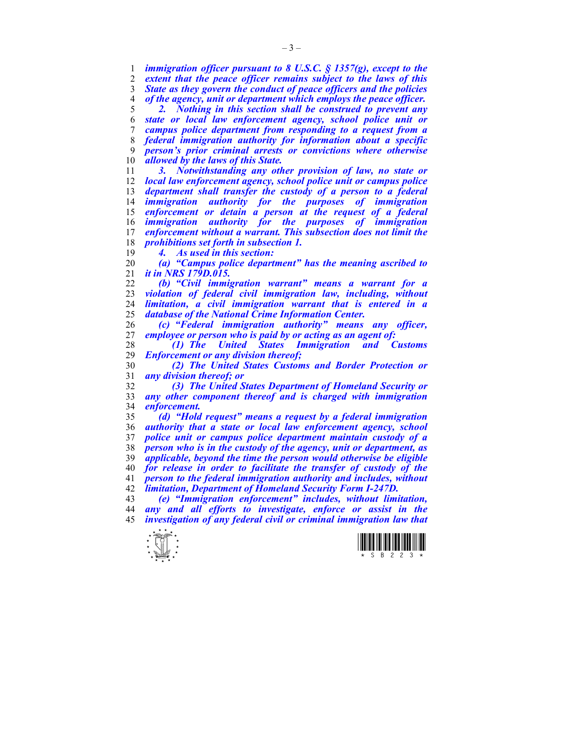*immigration officer pursuant to 8 U.S.C. § 1357(g), except to the*  extent that the peace officer remains subject to the laws of this *State as they govern the conduct of peace officers and the policies of the agency, unit or department which employs the peace officer. 2. Nothing in this section shall be construed to prevent any* 

*state or local law enforcement agency, school police unit or campus police department from responding to a request from a federal immigration authority for information about a specific person's prior criminal arrests or convictions where otherwise allowed by the laws of this State.* 

*3. Notwithstanding any other provision of law, no state or local law enforcement agency, school police unit or campus police department shall transfer the custody of a person to a federal immigration authority for the purposes of immigration enforcement or detain a person at the request of a federal immigration authority for the purposes of immigration enforcement without a warrant. This subsection does not limit the prohibitions set forth in subsection 1.* 

*4. As used in this section:* 

*(a) "Campus police department" has the meaning ascribed to it in NRS 179D.015.* 

*(b) "Civil immigration warrant" means a warrant for a violation of federal civil immigration law, including, without limitation, a civil immigration warrant that is entered in a database of the National Crime Information Center.* 

*(c) "Federal immigration authority" means any officer, employee or person who is paid by or acting as an agent of:* 

*(1) The United States Immigration and Customs Enforcement or any division thereof;* 

*(2) The United States Customs and Border Protection or any division thereof; or* 

*(3) The United States Department of Homeland Security or any other component thereof and is charged with immigration enforcement.* 

*(d) "Hold request" means a request by a federal immigration authority that a state or local law enforcement agency, school police unit or campus police department maintain custody of a person who is in the custody of the agency, unit or department, as applicable, beyond the time the person would otherwise be eligible for release in order to facilitate the transfer of custody of the person to the federal immigration authority and includes, without limitation, Department of Homeland Security Form I-247D.* 

*(e) "Immigration enforcement" includes, without limitation, any and all efforts to investigate, enforce or assist in the investigation of any federal civil or criminal immigration law that*